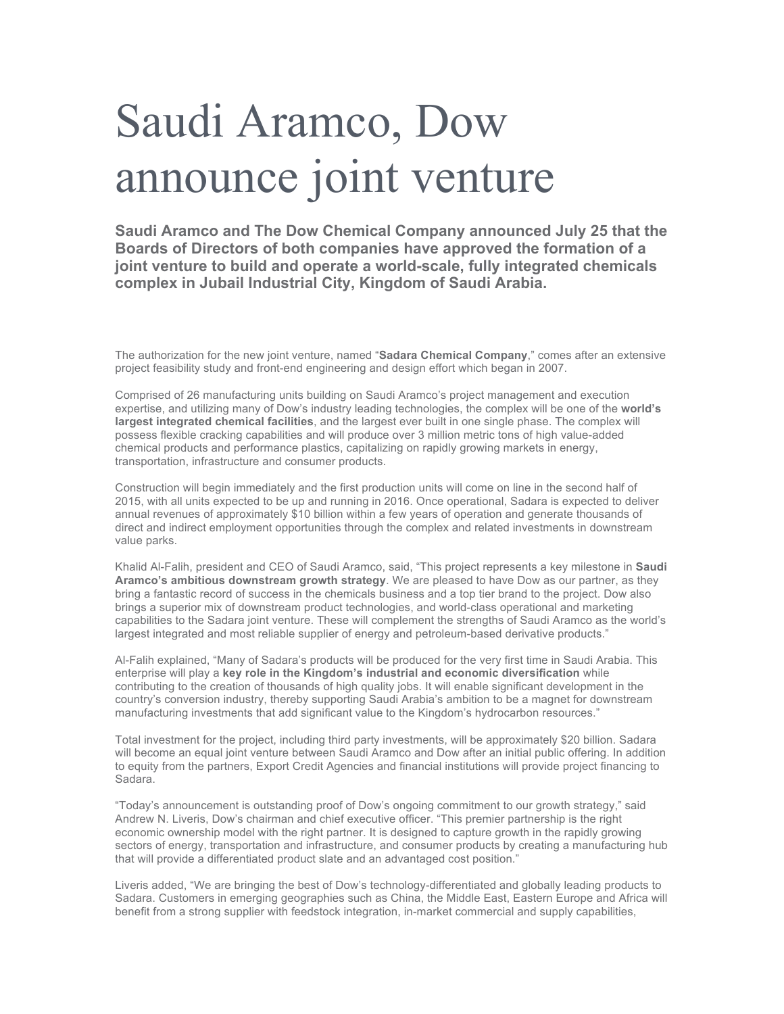## Saudi Aramco, Dow announce joint venture

**Saudi Aramco and The Dow Chemical Company announced July 25 that the Boards of Directors of both companies have approved the formation of a joint venture to build and operate a world-scale, fully integrated chemicals complex in Jubail Industrial City, Kingdom of Saudi Arabia.**

The authorization for the new joint venture, named "**Sadara Chemical Company**," comes after an extensive project feasibility study and front-end engineering and design effort which began in 2007.

Comprised of 26 manufacturing units building on Saudi Aramco's project management and execution expertise, and utilizing many of Dow's industry leading technologies, the complex will be one of the **world's largest integrated chemical facilities**, and the largest ever built in one single phase. The complex will possess flexible cracking capabilities and will produce over 3 million metric tons of high value-added chemical products and performance plastics, capitalizing on rapidly growing markets in energy, transportation, infrastructure and consumer products.

Construction will begin immediately and the first production units will come on line in the second half of 2015, with all units expected to be up and running in 2016. Once operational, Sadara is expected to deliver annual revenues of approximately \$10 billion within a few years of operation and generate thousands of direct and indirect employment opportunities through the complex and related investments in downstream value parks.

Khalid Al-Falih, president and CEO of Saudi Aramco, said, "This project represents a key milestone in **Saudi Aramco's ambitious downstream growth strategy**. We are pleased to have Dow as our partner, as they bring a fantastic record of success in the chemicals business and a top tier brand to the project. Dow also brings a superior mix of downstream product technologies, and world-class operational and marketing capabilities to the Sadara joint venture. These will complement the strengths of Saudi Aramco as the world's largest integrated and most reliable supplier of energy and petroleum-based derivative products."

Al-Falih explained, "Many of Sadara's products will be produced for the very first time in Saudi Arabia. This enterprise will play a **key role in the Kingdom's industrial and economic diversification** while contributing to the creation of thousands of high quality jobs. It will enable significant development in the country's conversion industry, thereby supporting Saudi Arabia's ambition to be a magnet for downstream manufacturing investments that add significant value to the Kingdom's hydrocarbon resources."

Total investment for the project, including third party investments, will be approximately \$20 billion. Sadara will become an equal joint venture between Saudi Aramco and Dow after an initial public offering. In addition to equity from the partners, Export Credit Agencies and financial institutions will provide project financing to Sadara.

"Today's announcement is outstanding proof of Dow's ongoing commitment to our growth strategy," said Andrew N. Liveris, Dow's chairman and chief executive officer. "This premier partnership is the right economic ownership model with the right partner. It is designed to capture growth in the rapidly growing sectors of energy, transportation and infrastructure, and consumer products by creating a manufacturing hub that will provide a differentiated product slate and an advantaged cost position."

Liveris added, "We are bringing the best of Dow's technology-differentiated and globally leading products to Sadara. Customers in emerging geographies such as China, the Middle East, Eastern Europe and Africa will benefit from a strong supplier with feedstock integration, in-market commercial and supply capabilities,